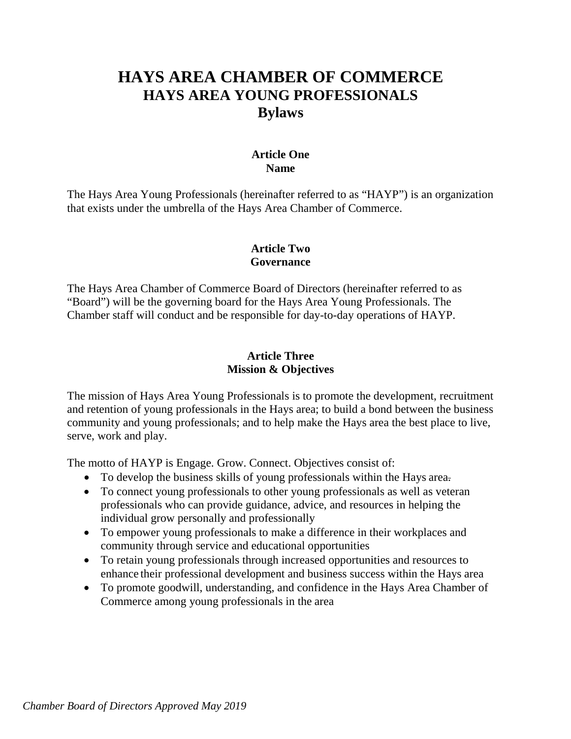# **HAYS AREA CHAMBER OF COMMERCE HAYS AREA YOUNG PROFESSIONALS Bylaws**

#### **Article One Name**

The Hays Area Young Professionals (hereinafter referred to as "HAYP") is an organization that exists under the umbrella of the Hays Area Chamber of Commerce.

### **Article Two Governance**

The Hays Area Chamber of Commerce Board of Directors (hereinafter referred to as "Board") will be the governing board for the Hays Area Young Professionals. The Chamber staff will conduct and be responsible for day-to-day operations of HAYP.

### **Article Three Mission & Objectives**

The mission of Hays Area Young Professionals is to promote the development, recruitment and retention of young professionals in the Hays area; to build a bond between the business community and young professionals; and to help make the Hays area the best place to live, serve, work and play.

The motto of HAYP is Engage. Grow. Connect. Objectives consist of:

- To develop the business skills of young professionals within the Hays area.
- To connect young professionals to other young professionals as well as veteran professionals who can provide guidance, advice, and resources in helping the individual grow personally and professionally
- To empower young professionals to make a difference in their workplaces and community through service and educational opportunities
- To retain young professionals through increased opportunities and resources to enhance their professional development and business success within the Hays area
- To promote goodwill, understanding, and confidence in the Hays Area Chamber of Commerce among young professionals in the area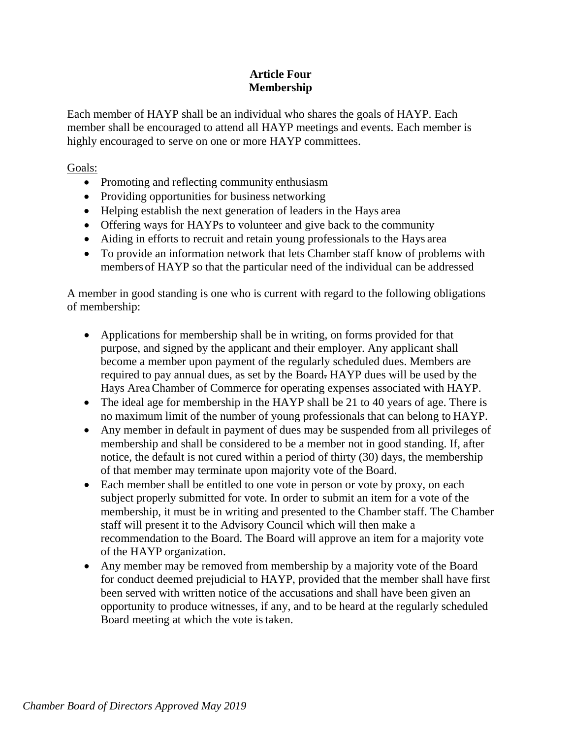## **Article Four Membership**

Each member of HAYP shall be an individual who shares the goals of HAYP. Each member shall be encouraged to attend all HAYP meetings and events. Each member is highly encouraged to serve on one or more HAYP committees.

Goals:

- Promoting and reflecting community enthusiasm
- Providing opportunities for business networking
- Helping establish the next generation of leaders in the Hays area
- Offering ways for HAYPs to volunteer and give back to the community
- Aiding in efforts to recruit and retain young professionals to the Hays area
- To provide an information network that lets Chamber staff know of problems with members of HAYP so that the particular need of the individual can be addressed

A member in good standing is one who is current with regard to the following obligations of membership:

- Applications for membership shall be in writing, on forms provided for that purpose, and signed by the applicant and their employer. Any applicant shall become a member upon payment of the regularly scheduled dues. Members are required to pay annual dues, as set by the Board. HAYP dues will be used by the Hays AreaChamber of Commerce for operating expenses associated with HAYP.
- The ideal age for membership in the HAYP shall be 21 to 40 years of age. There is no maximum limit of the number of young professionals that can belong to HAYP.
- Any member in default in payment of dues may be suspended from all privileges of membership and shall be considered to be a member not in good standing. If, after notice, the default is not cured within a period of thirty (30) days, the membership of that member may terminate upon majority vote of the Board.
- Each member shall be entitled to one vote in person or vote by proxy, on each subject properly submitted for vote. In order to submit an item for a vote of the membership, it must be in writing and presented to the Chamber staff. The Chamber staff will present it to the Advisory Council which will then make a recommendation to the Board. The Board will approve an item for a majority vote of the HAYP organization.
- Any member may be removed from membership by a majority vote of the Board for conduct deemed prejudicial to HAYP, provided that the member shall have first been served with written notice of the accusations and shall have been given an opportunity to produce witnesses, if any, and to be heard at the regularly scheduled Board meeting at which the vote istaken.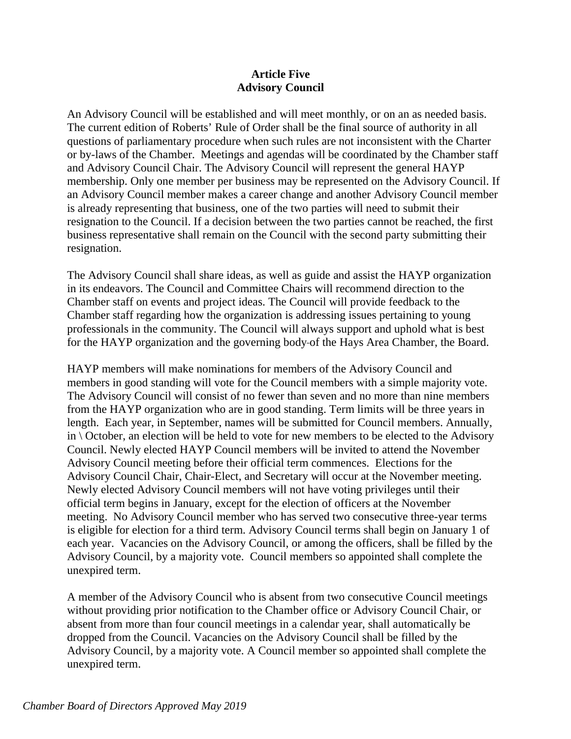#### **Article Five Advisory Council**

An Advisory Council will be established and will meet monthly, or on an as needed basis. The current edition of Roberts' Rule of Order shall be the final source of authority in all questions of parliamentary procedure when such rules are not inconsistent with the Charter or by-laws of the Chamber. Meetings and agendas will be coordinated by the Chamber staff and Advisory Council Chair. The Advisory Council will represent the general HAYP membership. Only one member per business may be represented on the Advisory Council. If an Advisory Council member makes a career change and another Advisory Council member is already representing that business, one of the two parties will need to submit their resignation to the Council. If a decision between the two parties cannot be reached, the first business representative shall remain on the Council with the second party submitting their resignation.

The Advisory Council shall share ideas, as well as guide and assist the HAYP organization in its endeavors. The Council and Committee Chairs will recommend direction to the Chamber staff on events and project ideas. The Council will provide feedback to the Chamber staff regarding how the organization is addressing issues pertaining to young professionals in the community. The Council will always support and uphold what is best for the HAYP organization and the governing body of the Hays Area Chamber, the Board.

HAYP members will make nominations for members of the Advisory Council and members in good standing will vote for the Council members with a simple majority vote. The Advisory Council will consist of no fewer than seven and no more than nine members from the HAYP organization who are in good standing. Term limits will be three years in length. Each year, in September, names will be submitted for Council members. Annually, in  $\setminus$  October, an election will be held to vote for new members to be elected to the Advisory Council. Newly elected HAYP Council members will be invited to attend the November Advisory Council meeting before their official term commences. Elections for the Advisory Council Chair, Chair-Elect, and Secretary will occur at the November meeting. Newly elected Advisory Council members will not have voting privileges until their official term begins in January, except for the election of officers at the November meeting. No Advisory Council member who has served two consecutive three-year terms is eligible for election for a third term. Advisory Council terms shall begin on January 1 of each year. Vacancies on the Advisory Council, or among the officers, shall be filled by the Advisory Council, by a majority vote. Council members so appointed shall complete the unexpired term.

A member of the Advisory Council who is absent from two consecutive Council meetings without providing prior notification to the Chamber office or Advisory Council Chair, or absent from more than four council meetings in a calendar year, shall automatically be dropped from the Council. Vacancies on the Advisory Council shall be filled by the Advisory Council, by a majority vote. A Council member so appointed shall complete the unexpired term.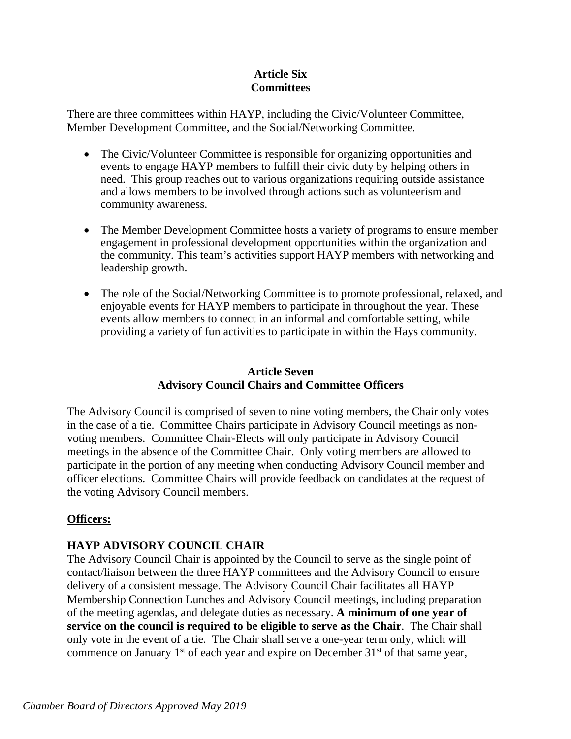### **Article Six Committees**

There are three committees within HAYP, including the Civic/Volunteer Committee, Member Development Committee, and the Social/Networking Committee.

- The Civic/Volunteer Committee is responsible for organizing opportunities and events to engage HAYP members to fulfill their civic duty by helping others in need. This group reaches out to various organizations requiring outside assistance and allows members to be involved through actions such as volunteerism and community awareness.
- The Member Development Committee hosts a variety of programs to ensure member engagement in professional development opportunities within the organization and the community. This team's activities support HAYP members with networking and leadership growth.
- The role of the Social/Networking Committee is to promote professional, relaxed, and enjoyable events for HAYP members to participate in throughout the year. These events allow members to connect in an informal and comfortable setting, while providing a variety of fun activities to participate in within the Hays community.

### **Article Seven Advisory Council Chairs and Committee Officers**

The Advisory Council is comprised of seven to nine voting members, the Chair only votes in the case of a tie. Committee Chairs participate in Advisory Council meetings as nonvoting members. Committee Chair-Elects will only participate in Advisory Council meetings in the absence of the Committee Chair. Only voting members are allowed to participate in the portion of any meeting when conducting Advisory Council member and officer elections. Committee Chairs will provide feedback on candidates at the request of the voting Advisory Council members.

# **Officers:**

# **HAYP ADVISORY COUNCIL CHAIR**

The Advisory Council Chair is appointed by the Council to serve as the single point of contact/liaison between the three HAYP committees and the Advisory Council to ensure delivery of a consistent message. The Advisory Council Chair facilitates all HAYP Membership Connection Lunches and Advisory Council meetings, including preparation of the meeting agendas, and delegate duties as necessary. **A minimum of one year of service on the council is required to be eligible to serve as the Chair**. The Chair shall only vote in the event of a tie. The Chair shall serve a one-year term only, which will commence on January  $1<sup>st</sup>$  of each year and expire on December  $31<sup>st</sup>$  of that same year,